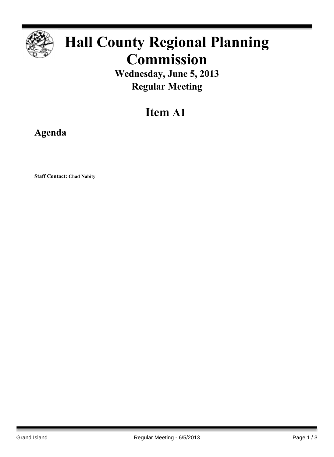

# **Hall County Regional Planning Commission**

**Wednesday, June 5, 2013 Regular Meeting**

# **Item A1**

**Agenda**

**Staff Contact: Chad Nabity**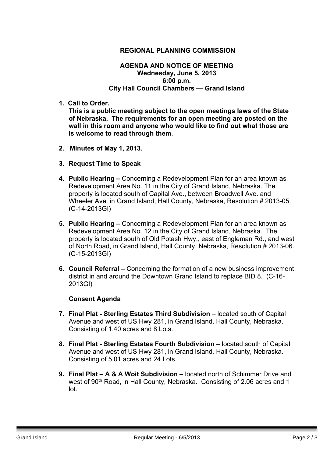### **REGIONAL PLANNING COMMISSION**

#### **AGENDA AND NOTICE OF MEETING Wednesday, June 5, 2013 6:00 p.m. City Hall Council Chambers — Grand Island**

**1. Call to Order.**

**This is a public meeting subject to the open meetings laws of the State of Nebraska. The requirements for an open meeting are posted on the wall in this room and anyone who would like to find out what those are is welcome to read through them**.

- **2. Minutes of May 1, 2013.**
- **3. Request Time to Speak**
- **4. Public Hearing –** Concerning a Redevelopment Plan for an area known as Redevelopment Area No. 11 in the City of Grand Island, Nebraska. The property is located south of Capital Ave., between Broadwell Ave. and Wheeler Ave. in Grand Island, Hall County, Nebraska, Resolution # 2013-05. (C-14-2013GI)
- **5. Public Hearing –** Concerning a Redevelopment Plan for an area known as Redevelopment Area No. 12 in the City of Grand Island, Nebraska. The property is located south of Old Potash Hwy., east of Engleman Rd., and west of North Road, in Grand Island, Hall County, Nebraska, Resolution # 2013-06. (C-15-2013GI)
- **6. Council Referral –** Concerning the formation of a new business improvement district in and around the Downtown Grand Island to replace BID 8. (C-16- 2013GI)

### **Consent Agenda**

- **7. Final Plat - Sterling Estates Third Subdivision** located south of Capital Avenue and west of US Hwy 281, in Grand Island, Hall County, Nebraska. Consisting of 1.40 acres and 8 Lots.
- **8. Final Plat - Sterling Estates Fourth Subdivision** located south of Capital Avenue and west of US Hwy 281, in Grand Island, Hall County, Nebraska. Consisting of 5.01 acres and 24 Lots.
- **9. Final Plat – A & A Woit Subdivision –** located north of Schimmer Drive and west of 90<sup>th</sup> Road, in Hall County, Nebraska. Consisting of 2.06 acres and 1 lot.